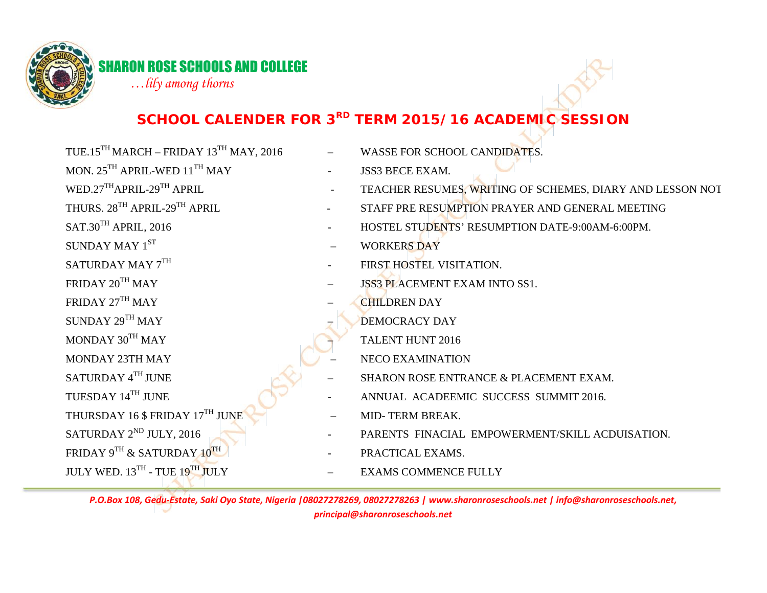

## HARON ROSE SCHOOLS AND COLLEGE

*…lily among thorns*

## **SCHOOL CALENDER FOR 3 RD TERM 2015/16 ACADEMIC SESSION**

TUE.15<sup>TH</sup> MARCH – FRIDAY 13<sup>TH</sup> MAY, 2016 – WASSE FOR SCHOOL CANDIDATES. MON.  $25^{TH}$  APRIL-WED  $11^{TH}$  MAY  $-$  JSS3 BECE EXAM.  $SUNDAY$  MAY  $1^{ST}$  – WORKERS DAY SATURDAY MAY 7TH FRIDAY 20<sup>TH</sup> MAY **FRIDAY 20TH** MAY **FRIDAY 20TH** MAY FRIDAY 27<sup>TH</sup> MAY – CHILDREN DAY  $SUNDAY 29<sup>TH</sup> MAY$  – DEMOCRACY DAY MONDAY 30<sup>TH</sup> MAY **EXAMPLE 12016** TALENT HUNT 2016 MONDAY 23TH MAY – NECO EXAMINATION THURSDAY 16 \$ FRIDAY 17<sup>TH</sup> JUNE  $\sim$  MID- TERM BREAK. FRIDAY 9TH & SATURDAY 10TH JULY WED. 13TH - TUE 19TH JULY

- 
- 
- WED.27<sup>TH</sup>APRIL-29<sup>TH</sup> APRIL TEACHER RESUMES, WRITING OF SCHEMES, DIARY AND LESSON NOT
- THURS. 28<sup>TH</sup> APRIL-29<sup>TH</sup> APRIL STAFF PRE RESUMPTION PRAYER AND GENERAL MEETING
- SAT.30<sup>TH</sup> APRIL, 2016  **HOSTEL STUDENTS' RESUMPTION DATE-9:00AM-6:00PM.** 
	-
	- FIRST HOSTEL VISITATION.
	-
	- -
		-
	-
- SATURDAY  $4^{TH}$  JUNE SHARON ROSE ENTRANCE & PLACEMENT EXAM.
- TUESDAY 14<sup>TH</sup> JUNE ANNUAL ACADEEMIC SUCCESS SUMMIT 2016.
	-
- SATURDAY 2<sup>ND</sup> JULY, 2016 PARENTS FINACIAL EMPOWERMENT/SKILL ACDUISATION.
	- PRACTICAL EXAMS.
	- EXAMS COMMENCE FULLY

*P.O.Box 108, Gedu-Estate, Saki Oyo State, Nigeria |08027278269, 08027278263 | www.sharonroseschools.net | info@sharonroseschools.net, principal@sharonroseschools.net*